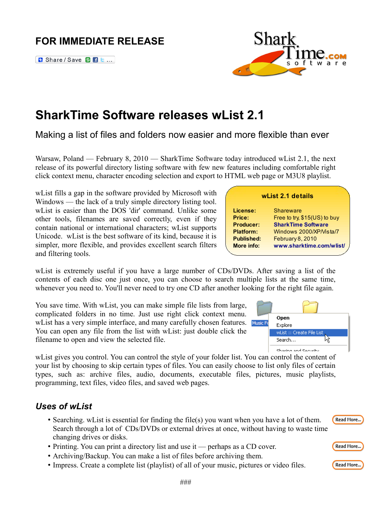# **FOR IMMEDIATE RELEASE**

**B** Share / Save **C B** e ...

# **SharkTime Software releases wList 2.1**

Making a list of files and folders now easier and more flexible than ever

Warsaw, Poland — February 8, 2010 — SharkTime Software today introduced wList 2.1, the next release of its powerful directory listing software with few new features including comfortable right click context menu, character encoding selection and export to HTML web page or M3U8 playlist.

wList fills a gap in the software provided by Microsoft with Windows — the lack of a truly simple directory listing tool. wList is easier than the DOS 'dir' command. Unlike some other tools, filenames are saved correctly, even if they contain national or international characters; wList supports Unicode. wList is the best software of its kind, because it is simpler, more flexible, and provides excellent search filters and filtering tools.

wList is extremely useful if you have a large number of CDs/DVDs. After saving a list of the contents of each disc one just once, you can choose to search multi whenever you need to. You'll never need to try one CD after another look

You save time. With wList, you can make simple file lists from large, complicated folders in no time. Just use right click context menu. wList has a very simple interface, and many carefully chosen features. M You can open any file from the list with wList: just double click the filename to open and view the selected file.

wList gives you control. You can control the style of your folder list. You can control the content of your list by choosing to skip certain types of files. You can easily choose to list only files of certain types, such as: archive files, audio, documents, executable files, pictures, music playlists, programming, text files, video files, and saved web pages.

#### *Uses of wList*

- Searching. wList is essential for finding the file(s) you want when you have a lot of them. Search through a lot of CDs/DVDs or external drives at once, without having to waste time changing drives or disks.
- Printing. You can print a directory list and use it perhaps as a CD cover.
- Archiving/Backup. You can make a list of files before archiving them.
- Impress. Create a complete list (playlist) of all of your music, pictures or video files.

| ing for the right file again. |                           |
|-------------------------------|---------------------------|
|                               |                           |
|                               | Open                      |
| <b>Iusic Fo</b>               | Explore                   |
|                               | wList :: Create File List |
|                               | Search…                   |

Chaving and Committee







Read More...

#### **wList 2.1 details**

**Price:** Free to try, \$15(US) to buy **Producer: [SharkTime Software](http://www.sharktime.com/) Platform:** Windows 2000/XP/Vista/7

**More info: [www.sharktime.com/wlist/](http://www.sharktime.com/wlist/)**

 **License:** Shareware

 **Published:** February 8, 2010

| iple lists at the same time,<br>king for the right file again. |                      |  |  |
|----------------------------------------------------------------|----------------------|--|--|
|                                                                |                      |  |  |
| isic Fi                                                        | Open<br>.<br>Explore |  |  |